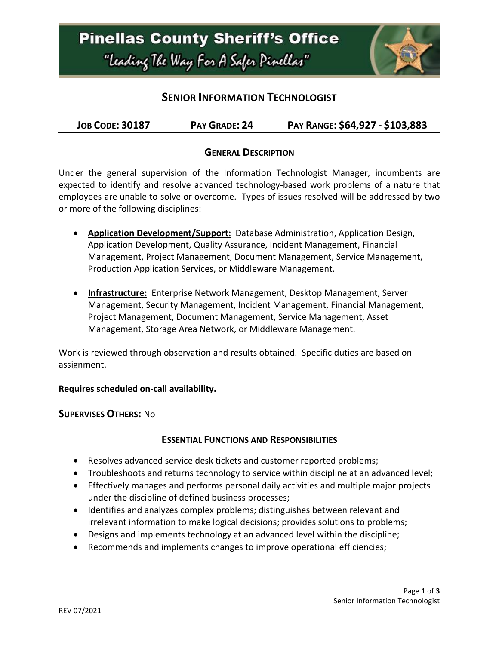

### **SENIOR INFORMATION TECHNOLOGIST**

| <b>JOB CODE: 30187</b> | PAY GRADE: 24 | PAY RANGE: \$64,927 - \$103,883 |
|------------------------|---------------|---------------------------------|
|------------------------|---------------|---------------------------------|

### **GENERAL DESCRIPTION**

Under the general supervision of the Information Technologist Manager, incumbents are expected to identify and resolve advanced technology-based work problems of a nature that employees are unable to solve or overcome. Types of issues resolved will be addressed by two or more of the following disciplines:

- **Application Development/Support:** Database Administration, Application Design, Application Development, Quality Assurance, Incident Management, Financial Management, Project Management, Document Management, Service Management, Production Application Services, or Middleware Management.
- **Infrastructure:** Enterprise Network Management, Desktop Management, Server Management, Security Management, Incident Management, Financial Management, Project Management, Document Management, Service Management, Asset Management, Storage Area Network, or Middleware Management.

Work is reviewed through observation and results obtained. Specific duties are based on assignment.

### **Requires scheduled on-call availability.**

#### **SUPERVISES OTHERS:** No

### **ESSENTIAL FUNCTIONS AND RESPONSIBILITIES**

- Resolves advanced service desk tickets and customer reported problems;
- Troubleshoots and returns technology to service within discipline at an advanced level;
- Effectively manages and performs personal daily activities and multiple major projects under the discipline of defined business processes;
- Identifies and analyzes complex problems; distinguishes between relevant and irrelevant information to make logical decisions; provides solutions to problems;
- Designs and implements technology at an advanced level within the discipline;
- Recommends and implements changes to improve operational efficiencies;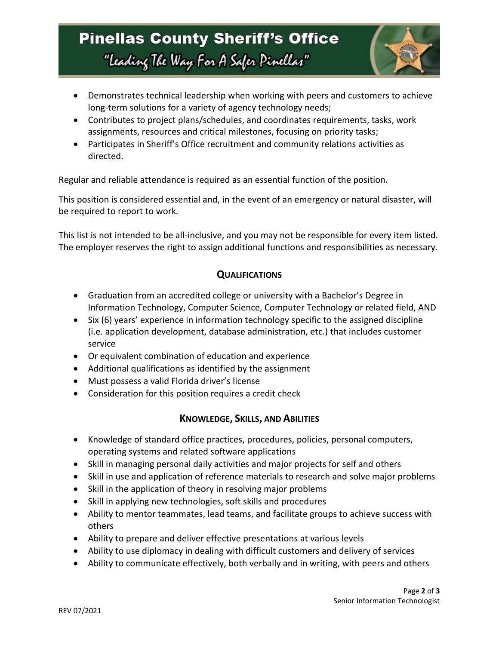# **Pinellas County Sheriff's Office** "Leading The Way For A Safer Pinellar"



- Demonstrates technical leadership when working with peers and customers to achieve long-term solutions for a variety of agency technology needs;
- Contributes to project plans/schedules, and coordinates requirements, tasks, work assignments, resources and critical milestones, focusing on priority tasks;
- Participates in Sheriff's Office recruitment and community relations activities as directed.

Regular and reliable attendance is required as an essential function of the position.

This position is considered essential and, in the event of an emergency or natural disaster, will be required to report to work.

This list is not intended to be all-inclusive, and you may not be responsible for every item listed. The employer reserves the right to assign additional functions and responsibilities as necessary.

### **QUALIFICATIONS**

- Graduation from an accredited college or university with a Bachelor's Degree in Information Technology, Computer Science, Computer Technology or related field, AND
- Six (6) years' experience in information technology specific to the assigned discipline (i.e. application development, database administration, etc.) that includes customer service
- Or equivalent combination of education and experience
- Additional qualifications as identified by the assignment
- Must possess a valid Florida driver's license
- Consideration for this position requires a credit check

### **KNOWLEDGE, SKILLS, AND ABILITIES**

- Knowledge of standard office practices, procedures, policies, personal computers, operating systems and related software applications
- Skill in managing personal daily activities and major projects for self and others
- Skill in use and application of reference materials to research and solve major problems
- Skill in the application of theory in resolving major problems
- Skill in applying new technologies, soft skills and procedures
- Ability to mentor teammates, lead teams, and facilitate groups to achieve success with others
- Ability to prepare and deliver effective presentations at various levels
- Ability to use diplomacy in dealing with difficult customers and delivery of services
- Ability to communicate effectively, both verbally and in writing, with peers and others